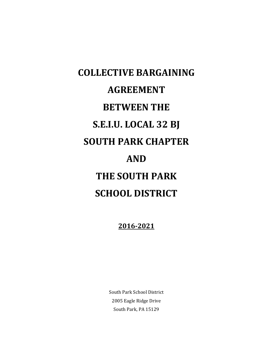# **COLLECTIVE BARGAINING AGREEMENT BETWEEN THE S.E.I.U. LOCAL 32 BJ SOUTH PARK CHAPTER AND THE SOUTH PARK SCHOOL DISTRICT**

**2016-2021**

South Park School District 2005 Eagle Ridge Drive South Park, PA 15129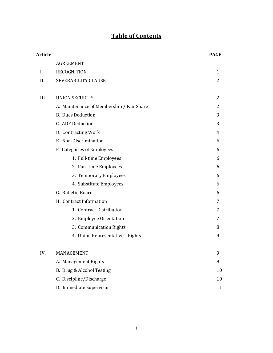# **Table of Contents**

| <b>Article</b> |                                           | <b>PAGE</b> |
|----------------|-------------------------------------------|-------------|
|                | <b>AGREEMENT</b>                          |             |
| Ι.             | <b>RECOGNITION</b>                        | 1           |
| II.            | SEVERABILITY CLAUSE                       | 2           |
| III.           | <b>UNION SECURITY</b>                     | 2           |
|                | A. Maintenance of Membership / Fair Share | 2           |
|                | <b>B.</b> Dues Deduction                  | 3           |
|                | C. ADF Deduction                          | 3           |
|                | D. Contracting Work                       | 4           |
|                | E. Non-Discrimination                     | 6           |
|                | F. Categories of Employees                | 6           |
|                | 1. Full-time Employees                    | 6           |
|                | 2. Part-time Employees                    | 6           |
|                | 3. Temporary Employees                    | 6           |
|                | 4. Substitute Employees                   | 6           |
|                | G. Bulletin Board                         | 6           |
|                | H. Contract Information                   | 7           |
|                | 1. Contract Distribution                  | 7           |
|                | 2. Employee Orientation                   | 7           |
|                | 3. Communication Rights                   | 8           |
|                | 4. Union Representative's Rights          | 9           |
| IV.            | MANAGEMENT                                | 9           |
|                | A. Management Rights                      | 9           |
|                | B. Drug & Alcohol Testing                 | 10          |
|                | C. Discipline/Discharge                   | 10          |
|                | D. Immediate Supervisor                   | 11          |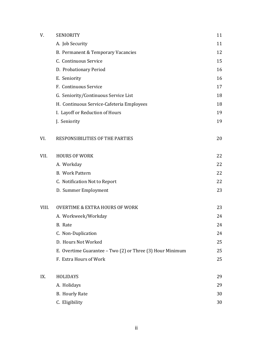| V.    | <b>SENIORITY</b>                                          | 11 |
|-------|-----------------------------------------------------------|----|
|       | A. Job Security                                           | 11 |
|       | B. Permanent & Temporary Vacancies                        | 12 |
|       | C. Continuous Service                                     | 15 |
|       | D. Probationary Period                                    | 16 |
|       | E. Seniority                                              | 16 |
|       | F. Continuous Service                                     | 17 |
|       | G. Seniority/Continuous Service List                      | 18 |
|       | H. Continuous Service-Cafeteria Employees                 | 18 |
|       | I. Layoff or Reduction of Hours                           | 19 |
|       | J. Seniority                                              | 19 |
| VI.   | RESPONSIBILITIES OF THE PARTIES                           | 20 |
| VII.  | <b>HOURS OF WORK</b>                                      | 22 |
|       | A. Workday                                                | 22 |
|       | <b>B.</b> Work Pattern                                    | 22 |
|       | C. Notification Not to Report                             | 22 |
|       | D. Summer Employment                                      | 23 |
| VIII. | <b>OVERTIME &amp; EXTRA HOURS OF WORK</b>                 | 23 |
|       | A. Workweek/Workday                                       | 24 |
|       | B. Rate                                                   | 24 |
|       | C. Non-Duplication                                        | 24 |
|       | D. Hours Not Worked                                       | 25 |
|       | E. Overtime Guarantee - Two (2) or Three (3) Hour Minimum | 25 |
|       | F. Extra Hours of Work                                    | 25 |
| IX.   | <b>HOLIDAYS</b>                                           | 29 |
|       | A. Holidays                                               | 29 |
|       | <b>B.</b> Hourly Rate                                     | 30 |
|       | C. Eligibility                                            | 30 |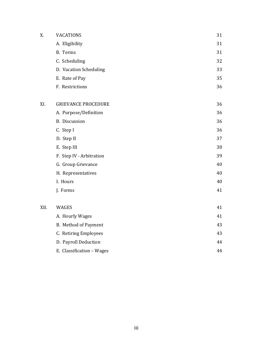| X.   | <b>VACATIONS</b>           | 31 |
|------|----------------------------|----|
|      | A. Eligibility             | 31 |
|      | B. Terms                   | 31 |
|      | C. Scheduling              | 32 |
|      | D. Vacation Scheduling     | 33 |
|      | E. Rate of Pay             | 35 |
|      | F. Restrictions            | 36 |
| XI.  | <b>GRIEVANCE PROCEDURE</b> | 36 |
|      | A. Purpose/Definition      | 36 |
|      | B. Discussion              | 36 |
|      | C. Step I                  | 36 |
|      | D. Step II                 | 37 |
|      | E. Step III                | 38 |
|      | F. Step IV - Arbitration   | 39 |
|      | G. Group Grievance         | 40 |
|      | H. Representatives         | 40 |
|      | I. Hours                   | 40 |
|      | J. Forms                   | 41 |
| XII. | WAGES                      | 41 |
|      | A. Hourly Wages            | 41 |
|      | B. Method of Payment       | 43 |
|      | C. Retiring Employees      | 43 |
|      | D. Payroll Deduction       | 44 |
|      | E. Classification - Wages  | 44 |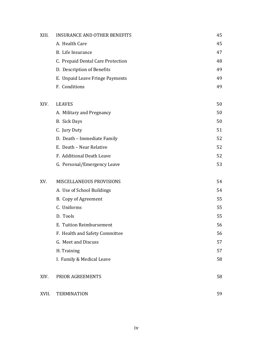| XIII. | <b>INSURANCE AND OTHER BENEFITS</b> | 45 |
|-------|-------------------------------------|----|
|       | A. Health Care                      | 45 |
|       | B. Life Insurance                   | 47 |
|       | C. Prepaid Dental Care Protection   | 48 |
|       | D. Description of Benefits          | 49 |
|       | E. Unpaid Leave Fringe Payments     | 49 |
|       | F. Conditions                       | 49 |
| XIV.  | <b>LEAVES</b>                       | 50 |
|       | A. Military and Pregnancy           | 50 |
|       | B. Sick Days                        | 50 |
|       | C. Jury Duty                        | 51 |
|       | D. Death - Immediate Family         | 52 |
|       | E. Death - Near Relative            | 52 |
|       | F. Additional Death Leave           | 52 |
|       | G. Personal/Emergency Leave         | 53 |
| XV.   | MISCELLANEOUS PROVISIONS            | 54 |
|       | A. Use of School Buildings          | 54 |
|       | B. Copy of Agreement                | 55 |
|       | C. Uniforms                         | 55 |
|       | D. Tools                            | 55 |
|       | E. Tuition Reimbursement            | 56 |
|       | F. Health and Safety Committee      | 56 |
|       | G. Meet and Discuss                 | 57 |
|       | H. Training                         | 57 |
|       | I. Family & Medical Leave           | 58 |
| XIV.  | PRIOR AGREEMENTS                    | 58 |
| XVII. | <b>TERMINATION</b>                  | 59 |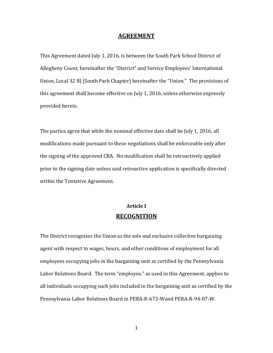## **AGREEMENT**

This Agreement dated July 1, 2016, is between the South Park School District of Allegheny Count, hereinafter the "District" and Service Employees' International Union, Local 32 BJ (South Park Chapter) hereinafter the "Union." The provisions of this agreement shall become effective on July 1, 2016, unless otherwise expressly provided herein.

The parties agree that while the nominal effective date shall be July 1, 2016, all modifications made pursuant to these negotiations shall be enforceable only after the signing of the approved CBA. No modification shall be retroactively applied prior to the signing date unless said retroactive application is specifically directed within the Tentative Agreement.

# **Article I RECOGNITION**

The District recognizes the Union as the sole and exclusive collective bargaining agent with respect to wages, hours, and other conditions of employment for all employees occupying jobs in the bargaining unit as certified by the Pennsylvania Labor Relations Board. The term "employee," as used in this Agreement, applies to all individuals occupying such jobs included in the bargaining unit as certified by the Pennsylvania Labor Relations Board in PERA-R-673-Wand PERA-R-94-87-W.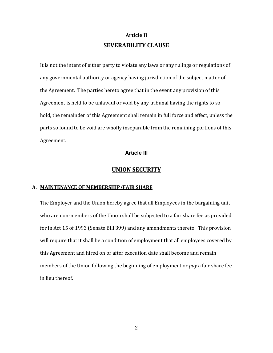# **Article II SEVERABILITY CLAUSE**

It is not the intent of either party to violate any laws or any rulings or regulations of any governmental authority or agency having jurisdiction of the subject matter of the Agreement. The parties hereto agree that in the event any provision of this Agreement is held to be unlawful or void by any tribunal having the rights to so hold, the remainder of this Agreement shall remain in full force and effect, unless the parts so found to be void are wholly inseparable from the remaining portions of this Agreement.

# **Article III**

# **UNION SECURITY**

# **A. MAINTENANCE OF MEMBERSHIP/FAIR SHARE**

The Employer and the Union hereby agree that all Employees in the bargaining unit who are non-members of the Union shall be subjected to a fair share fee as provided for in Act 15 of 1993 (Senate Bill 399) and any amendments thereto. This provision will require that it shall be a condition of employment that all employees covered by this Agreement and hired on or after execution date shall become and remain members of the Union following the beginning of employment or *pay* a fair share fee in lieu thereof.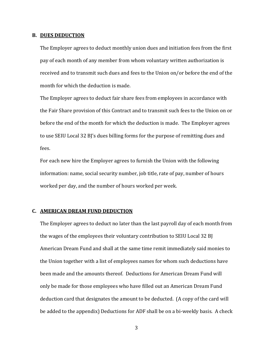#### **B. DUES DEDUCTION**

The Employer agrees to deduct monthly union dues and initiation fees from the first pay of each month of any member from whom voluntary written authorization is received and to transmit such dues and fees to the Union on/or before the end of the month for which the deduction is made.

The Employer agrees to deduct fair share fees from employees in accordance with the Fair Share provision of this Contract and to transmit such fees to the Union on or before the end of the month for which the deduction is made. The Employer agrees to use SEIU Local 32 BJ's dues billing forms for the purpose of remitting dues and fees.

For each new hire the Employer agrees to furnish the Union with the following information: name, social security number, job title, rate of pay, number of hours worked per day, and the number of hours worked per week.

#### **C. AMERICAN DREAM FUND DEDUCTION**

The Employer agrees to deduct no later than the last payroll day of each month from the wages of the employees their voluntary contribution to SEIU Local 32 BJ American Dream Fund and shall at the same time remit immediately said monies to the Union together with a list of employees names for whom such deductions have been made and the amounts thereof. Deductions for American Dream Fund will only be made for those employees who have filled out an American Dream Fund deduction card that designates the amount to be deducted. (A copy of the card will be added to the appendix) Deductions for ADF shall be on a bi-weekly basis. A check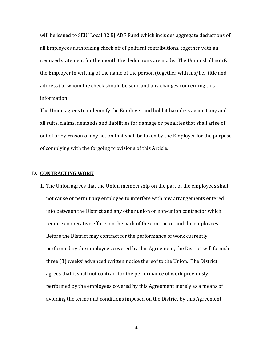will be issued to SEIU Local 32 BJ ADF Fund which includes aggregate deductions of all Employees authorizing check off of political contributions, together with an itemized statement for the month the deductions are made. The Union shall notify the Employer in writing of the name of the person (together with his/her title and address) to whom the check should be send and any changes concerning this information.

The Union agrees to indemnify the Employer and hold it harmless against any and all suits, claims, demands and liabilities for damage or penalties that shall arise of out of or by reason of any action that shall be taken by the Employer for the purpose of complying with the forgoing provisions of this Article.

#### **D. CONTRACTING WORK**

1. The Union agrees that the Union membership on the part of the employees shall not cause or permit any employee to interfere with any arrangements entered into between the District and any other union or non-union contractor which require cooperative efforts on the park of the contractor and the employees. Before the District may contract for the performance of work currently performed by the employees covered by this Agreement, the District will furnish three (3) weeks' advanced written notice thereof to the Union. The District agrees that it shall not contract for the performance of work previously performed by the employees covered by this Agreement merely as a means of avoiding the terms and conditions imposed on the District by this Agreement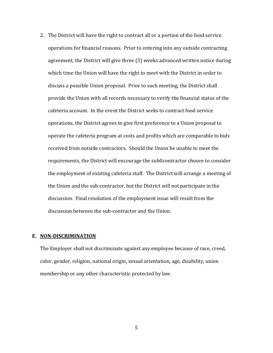2. The District will have the right to contract all or a portion of the food service operations for financial reasons. Prior to entering into any outside contracting agreement, the District will give three (3) weeks advanced written notice during which time the Union will have the right to meet with the District in order to discuss a possible Union proposal. Prior to such meeting, the District shall provide the Union with all records necessary to verify the financial status of the cafeteria account. In the event the District seeks to contract food service operations, the District agrees to give first preference to a Union proposal to operate the cafeteria program at costs and profits which are comparable to bids received from outside contractors. Should the Union be unable to meet the requirements, the District will encourage the sub0contractor chosen to consider the employment of existing cafeteria staff. The District will arrange a meeting of the Union and the sub-contractor, but the District will not participate in the discussion. Final resolution of the employment issue will result from the discussion between the sub-contractor and the Union.

# **E. NON-DISCRIMINATION**

The Employer shall not discriminate against any employee because of race, creed, color, gender, religion, national origin, sexual orientation, age, disability, union membership or any other characteristic protected by law.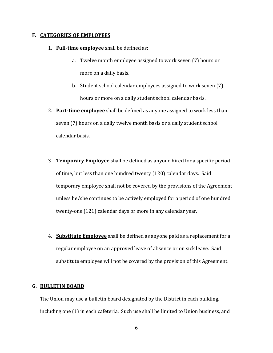#### **F. CATEGORIES OF EMPLOYEES**

- 1. **Full-time employee** shall be defined as:
	- a. Twelve month employee assigned to work seven (7) hours or more on a daily basis.
	- b. Student school calendar employees assigned to work seven (7) hours or more on a daily student school calendar basis.
- 2. **Part-time employee** shall be defined as anyone assigned to work less than seven (7) hours on a daily twelve month basis or a daily student school calendar basis.
- 3. **Temporary Employee** shall be defined as anyone hired for a specific period of time, but less than one hundred twenty (120) calendar days. Said temporary employee shall not be covered by the provisions of the Agreement unless he/she continues to be actively employed for a period of one hundred twenty-one (121) calendar days or more in any calendar year.
- 4. **Substitute Employee** shall be defined as anyone paid as a replacement for a regular employee on an approved leave of absence or on sick leave. Said substitute employee will not be covered by the provision of this Agreement.

#### **G. BULLETIN BOARD**

The Union may use a bulletin board designated by the District in each building, including one (1) in each cafeteria. Such use shall be limited to Union business, and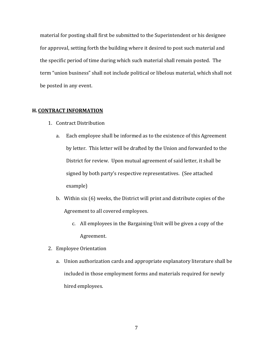material for posting shall first be submitted to the Superintendent or his designee for approval, setting forth the building where it desired to post such material and the specific period of time during which such material shall remain posted. The term "union business" shall not include political or libelous material, which shall not be posted in any event.

#### **H. CONTRACT INFORMATION**

- 1. Contract Distribution
	- a. Each employee shall be informed as to the existence of this Agreement by letter. This letter will be drafted by the Union and forwarded to the District for review. Upon mutual agreement of said letter, it shall be signed by both party's respective representatives. (See attached example)
	- b. Within six (6) weeks, the District will print and distribute copies of the Agreement to all covered employees.
		- c. All employees in the Bargaining Unit will be given a copy of the Agreement.
- 2. Employee Orientation
	- a. Union authorization cards and appropriate explanatory literature shall be included in those employment forms and materials required for newly hired employees.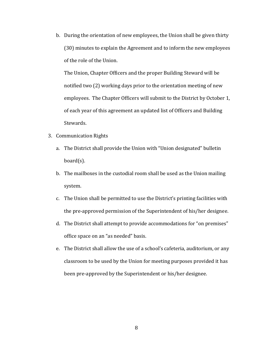b. During the orientation of new employees, the Union shall be given thirty (30) minutes to explain the Agreement and to inform the new employees of the role of the Union.

The Union, Chapter Officers and the proper Building Steward will be notified two (2) working days prior to the orientation meeting of new employees. The Chapter Officers will submit to the District by October 1, of each year of this agreement an updated list of Officers and Building Stewards.

- 3. Communication Rights
	- a. The District shall provide the Union with "Union designated" bulletin board(s).
	- b. The mailboxes in the custodial room shall be used as the Union mailing system.
	- c. The Union shall be permitted to use the District's printing facilities with the pre-approved permission of the Superintendent of his/her designee.
	- d. The District shall attempt to provide accommodations for "on premises" office space on an "as needed" basis.
	- e. The District shall allow the use of a school's cafeteria, auditorium, or any classroom to be used by the Union for meeting purposes provided it has been pre-approved by the Superintendent or his/her designee.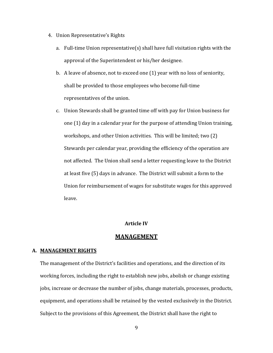- 4. Union Representative's Rights
	- a. Full-time Union representative(s) shall have full visitation rights with the approval of the Superintendent or his/her designee.
	- b. A leave of absence, not to exceed one (1) year with no loss of seniority, shall be provided to those employees who become full-time representatives of the union.
	- c. Union Stewards shall be granted time off with pay for Union business for one (1) day in a calendar year for the purpose of attending Union training, workshops, and other Union activities. This will be limited; two (2) Stewards per calendar year, providing the efficiency of the operation are not affected. The Union shall send a letter requesting leave to the District at least five (5) days in advance. The District will submit a form to the Union for reimbursement of wages for substitute wages for this approved leave.

## **Article IV**

# **MANAGEMENT**

#### **A. MANAGEMENT RIGHTS**

The management of the District's facilities and operations, and the direction of its working forces, including the right to establish new jobs, abolish or change existing jobs, increase or decrease the number of jobs, change materials, processes, products, equipment, and operations shall be retained by the vested exclusively in the District. Subject to the provisions of this Agreement, the District shall have the right to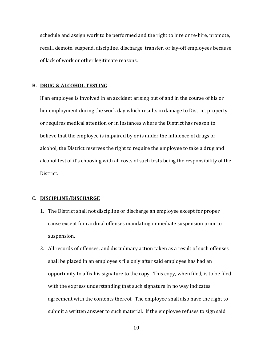schedule and assign work to be performed and the right to hire or re-hire, promote, recall, demote, suspend, discipline, discharge, transfer, or lay-off employees because of lack of work or other legitimate reasons.

## **B. DRUG & ALCOHOL TESTING**

If an employee is involved in an accident arising out of and in the course of his or her employment during the work day which results in damage to District property or requires medical attention or in instances where the District has reason to believe that the employee is impaired by or is under the influence of drugs or alcohol, the District reserves the right to require the employee to take a drug and alcohol test of it's choosing with all costs of such tests being the responsibility of the District.

# **C. DISCIPLINE/DISCHARGE**

- 1. The District shall not discipline or discharge an employee except for proper cause except for cardinal offenses mandating immediate suspension prior to suspension.
- 2. All records of offenses, and disciplinary action taken as a result of such offenses shall be placed in an employee's file only after said employee has had an opportunity to affix his signature to the copy. This copy, when filed, is to be filed with the express understanding that such signature in no way indicates agreement with the contents thereof. The employee shall also have the right to submit a written answer to such material. If the employee refuses to sign said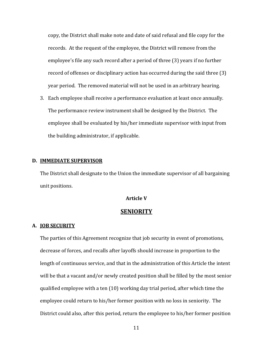copy, the District shall make note and date of said refusal and file copy for the records. At the request of the employee, the District will remove from the employee's file any such record after a period of three (3) years if no further record of offenses or disciplinary action has occurred during the said three (3) year period. The removed material will not be used in an arbitrary hearing.

3. Each employee shall receive a performance evaluation at least once annually. The performance review instrument shall be designed by the District. The employee shall be evaluated by his/her immediate supervisor with input from the building administrator, if applicable.

#### **D. IMMEDIATE SUPERVISOR**

The District shall designate to the Union the immediate supervisor of all bargaining unit positions.

# **Article V**

# **SENIORITY**

#### **A. JOB SECURITY**

The parties of this Agreement recognize that job security in event of promotions, decrease of forces, and recalls after layoffs should increase in proportion to the length of continuous service, and that in the administration of this Article the intent will be that a vacant and/or newly created position shall be filled by the most senior qualified employee with a ten (10) working day trial period, after which time the employee could return to his/her former position with no loss in seniority. The District could also, after this period, return the employee to his/her former position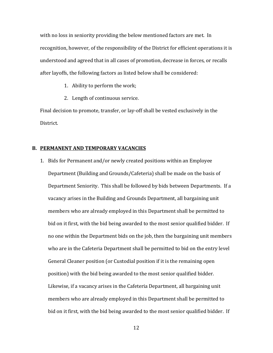with no loss in seniority providing the below mentioned factors are met. In recognition, however, of the responsibility of the District for efficient operations it is understood and agreed that in all cases of promotion, decrease in forces, or recalls after layoffs, the following factors as listed below shall be considered:

- 1. Ability to perform the work;
- 2. Length of continuous service.

Final decision to promote, transfer, or lay-off shall be vested exclusively in the District.

#### **B. PERMANENT AND TEMPORARY VACANCIES**

1. Bids for Permanent and/or newly created positions within an Employee Department (Building and Grounds/Cafeteria) shall be made on the basis of Department Seniority. This shall be followed by bids between Departments. If a vacancy arises in the Building and Grounds Department, all bargaining unit members who are already employed in this Department shall be permitted to bid on it first, with the bid being awarded to the most senior qualified bidder. If no one within the Department bids on the job, then the bargaining unit members who are in the Cafeteria Department shall be permitted to bid on the entry level General Cleaner position (or Custodial position if it is the remaining open position) with the bid being awarded to the most senior qualified bidder. Likewise, if a vacancy arises in the Cafeteria Department, all bargaining unit members who are already employed in this Department shall be permitted to bid on it first, with the bid being awarded to the most senior qualified bidder. If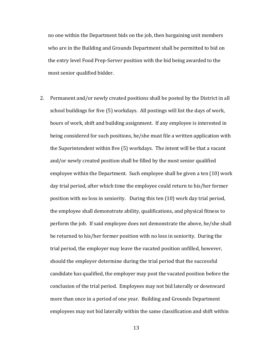no one within the Department bids on the job, then bargaining unit members who are in the Building and Grounds Department shall be permitted to bid on the entry level Food Prep-Server position with the bid being awarded to the most senior qualified bidder.

2. Permanent and/or newly created positions shall be posted by the District in all school buildings for five (5) workdays. All postings will list the days of work, hours of work, shift and building assignment. If any employee is interested in being considered for such positions, he/she must file a written application with the Superintendent within five (5) workdays. The intent will be that a vacant and/or newly created position shall be filled by the most senior qualified employee within the Department. Such employee shall be given a ten (10) work day trial period, after which time the employee could return to his/her former position with no loss in seniority. During this ten (10) work day trial period, the employee shall demonstrate ability, qualifications, and physical fitness to perform the job. If said employee does not demonstrate the above, he/she shall be returned to his/her former position with no loss in seniority. During the trial period, the employer may leave the vacated position unfilled, however, should the employer determine during the trial period that the successful candidate has qualified, the employer may post the vacated position before the conclusion of the trial period. Employees may not bid laterally or downward more than once in a period of one year. Building and Grounds Department employees may not bid laterally within the same classification and shift within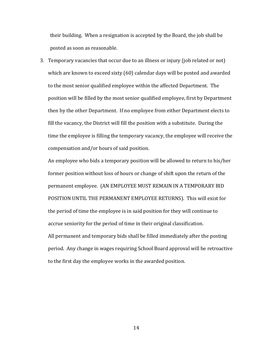their building. When a resignation is accepted by the Board, the job shall be posted as soon as reasonable.

3. Temporary vacancies that occur due to an illness or injury (job related or not) which are known to exceed sixty (60) calendar days will be posted and awarded to the most senior qualified employee within the affected Department. The position will be filled by the most senior qualified employee, first by Department then by the other Department. If no employee from either Department elects to fill the vacancy, the District will fill the position with a substitute. During the time the employee is filling the temporary vacancy, the employee will receive the compensation and/or hours of said position.

An employee who bids a temporary position will be allowed to return to his/her former position without loss of hours or change of shift upon the return of the permanent employee. (AN EMPLOYEE MUST REMAIN IN A TEMPORARY BID POSITION UNTIL THE PERMANENT EMPLOYEE RETURNS). This will exist for the period of time the employee is in said position for they will continue to accrue seniority for the period of time in their original classification. All permanent and temporary bids shall be filled immediately after the posting period. Any change in wages requiring School Board approval will be retroactive to the first day the employee works in the awarded position.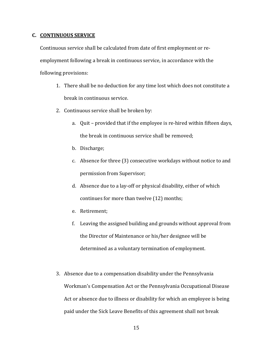# **C. CONTINUOUS SERVICE**

Continuous service shall be calculated from date of first employment or reemployment following a break in continuous service, in accordance with the following provisions:

- 1. There shall be no deduction for any time lost which does not constitute a break in continuous service.
- 2. Continuous service shall be broken by:
	- a. Quit provided that if the employee is re-hired within fifteen days, the break in continuous service shall be removed;
	- b. Discharge;
	- c. Absence for three (3) consecutive workdays without notice to and permission from Supervisor;
	- d. Absence due to a lay-off or physical disability, either of which continues for more than twelve (12) months;
	- e. Retirement;
	- f. Leaving the assigned building and grounds without approval from the Director of Maintenance or his/her designee will be determined as a voluntary termination of employment.
- 3. Absence due to a compensation disability under the Pennsylvania Workman's Compensation Act or the Pennsylvania Occupational Disease Act or absence due to illness or disability for which an employee is being paid under the Sick Leave Benefits of this agreement shall not break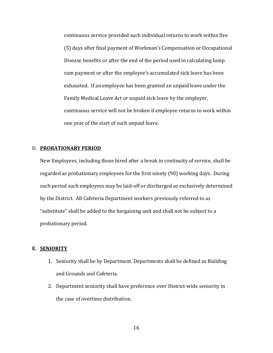continuous service provided such individual returns to work within five (5) days after final payment of Workman's Compensation or Occupational Disease benefits or after the end of the period used in calculating lump sum payment or after the employee's accumulated sick leave has been exhausted. If an employee has been granted an unpaid leave under the Family Medical Leave Act or unpaid sick leave by the employer, continuous service will not be broken if employee returns to work within one year of the start of such unpaid leave.

#### D. **PROBATIONARY PERIOD**

New Employees, including those hired after a break in continuity of service, shall be regarded as probationary employees for the first ninety (90) working days. During such period such employees may be laid-off or discharged as exclusively determined by the District. All Cafeteria Department workers previously referred to as "substitute" shall be added to the bargaining unit and shall not be subject to a probationary period.

# **E. SENIORITY**

- 1. Seniority shall be by Department. Departments shall be defined as Building and Grounds and Cafeteria.
- 2. Department seniority shall have preference over District-wide seniority in the case of overtime distribution.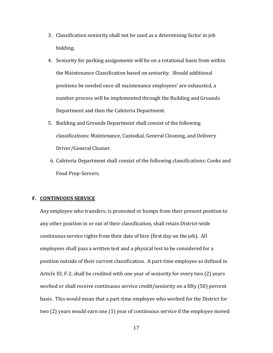- 3. Classification seniority shall not be used as a determining factor in job bidding.
- 4. Seniority for parking assignments will be on a rotational basis from within the Maintenance Classification based on seniority. Should additional positions be needed once all maintenance employees' are exhausted, a number process will be implemented through the Building and Grounds Department and then the Cafeteria Department.
- 5. Building and Grounds Department shall consist of the following classifications: Maintenance, Custodial, General Cleaning, and Delivery Driver/General Cleaner.
- 6. Cafeteria Department shall consist of the following classifications: Cooks and Food Prep-Servers.

# **F. CONTINUOUS SERVICE**

Any employee who transfers, is promoted or bumps from their present position to any other position in or out of their classification, shall retain District-wide continuous service rights from their date of hire (first day on the job). All employees shall pass a written test and a physical test to be considered for a position outside of their current classification. A part-time employee as defined in Article III, F-2, shall be credited with one year of seniority for every two (2) years worked or shall receive continuous service credit/seniority on a fifty (50) percent basis. This would mean that a part-time employee who worked for the District for two (2) years would earn one (1) year of continuous service if the employee moved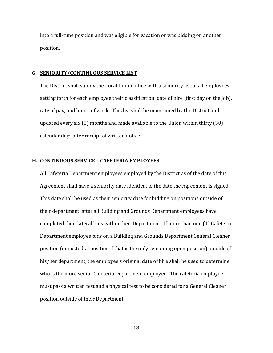into a full-time position and was eligible for vacation or was bidding on another position.

#### **G. SENIORITY/CONTINUOUS SERVICE LIST**

The District shall supply the Local Union office with a seniority list of all employees setting forth for each employee their classification, date of hire (first day on the job), rate of pay, and hours of work. This list shall be maintained by the District and updated every six (6) months and made available to the Union within thirty (30) calendar days after receipt of written notice.

## **H. CONTINUOUS SERVICE – CAFETERIA EMPLOYEES**

All Cafeteria Department employees employed by the District as of the date of this Agreement shall have a seniority date identical to the date the Agreement is signed. This date shall be used as their seniority date for bidding on positions outside of their department, after all Building and Grounds Department employees have completed their lateral bids within their Department. If more than one (1) Cafeteria Department employee bids on a Building and Grounds Department General Cleaner position (or custodial position if that is the only remaining open position) outside of his/her department, the employee's original date of hire shall be used to determine who is the more senior Cafeteria Department employee. The cafeteria employee must pass a written test and a physical test to be considered for a General Cleaner position outside of their Department.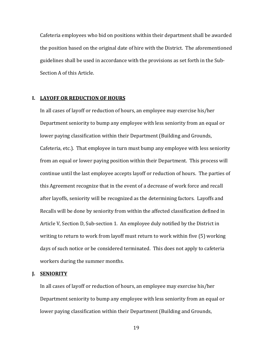Cafeteria employees who bid on positions within their department shall be awarded the position based on the original date of hire with the District. The aforementioned guidelines shall be used in accordance with the provisions as set forth in the Sub-Section A of this Article.

# **I. LAYOFF OR REDUCTION OF HOURS**

In all cases of layoff or reduction of hours, an employee may exercise his/her Department seniority to bump any employee with less seniority from an equal or lower paying classification within their Department (Building and Grounds, Cafeteria, etc.). That employee in turn must bump any employee with less seniority from an equal or lower paying position within their Department. This process will continue until the last employee accepts layoff or reduction of hours. The parties of this Agreement recognize that in the event of a decrease of work force and recall after layoffs, seniority will be recognized as the determining factors. Layoffs and Recalls will be done by seniority from within the affected classification defined in Article V, Section D, Sub-section 1. An employee duly notified by the District in writing to return to work from layoff must return to work within five (5) working days of such notice or be considered terminated. This does not apply to cafeteria workers during the summer months.

## **J. SENIORITY**

In all cases of layoff or reduction of hours, an employee may exercise his/her Department seniority to bump any employee with less seniority from an equal or lower paying classification within their Department (Building and Grounds,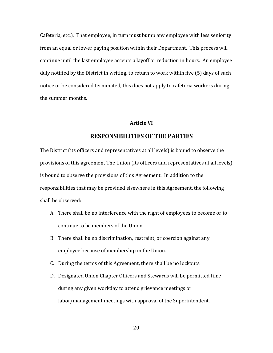Cafeteria, etc.). That employee, in turn must bump any employee with less seniority from an equal or lower paying position within their Department. This process will continue until the last employee accepts a layoff or reduction in hours. An employee duly notified by the District in writing, to return to work within five (5) days of such notice or be considered terminated, this does not apply to cafeteria workers during the summer months.

# **Article VI**

# **RESPONSIBILITIES OF THE PARTIES**

The District (its officers and representatives at all levels) is bound to observe the provisions of this agreement The Union (its officers and representatives at all levels) is bound to observe the provisions of this Agreement. In addition to the responsibilities that may be provided elsewhere in this Agreement, the following shall be observed:

- A. There shall be no interference with the right of employees to become or to continue to be members of the Union.
- B. There shall be no discrimination, restraint, or coercion against any employee because of membership in the Union.
- C. During the terms of this Agreement, there shall be no lockouts.
- D. Designated Union Chapter Officers and Stewards will be permitted time during any given workday to attend grievance meetings or labor/management meetings with approval of the Superintendent.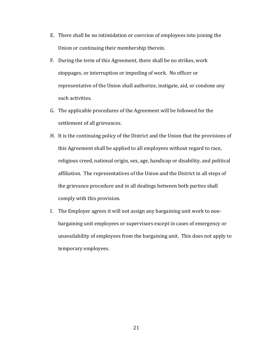- E. There shall be no intimidation or coercion of employees into joining the Union or continuing their membership therein.
- F. During the term of this Agreement, there shall be no strikes, work stoppages, or interruption or impeding of work. No officer or representative of the Union shall authorize, instigate, aid, or condone any such activities.
- G. The applicable procedures of the Agreement will be followed for the settlement of all grievances.
- H. It is the continuing policy of the District and the Union that the provisions of this Agreement shall be applied to all employees without regard to race, religious creed, national origin, sex, age, handicap or disability, and political affiliation. The representatives of the Union and the District in all steps of the grievance procedure and in all dealings between both parties shall comply with this provision.
- I. The Employer agrees it will not assign any bargaining unit work to nonbargaining unit employees or supervisors except in cases of emergency or unavailability of employees from the bargaining unit. This does not apply to temporary employees.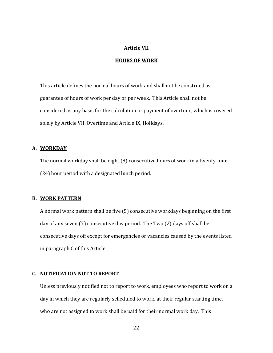# **Article VII**

# **HOURS OF WORK**

This article defines the normal hours of work and shall not be construed as guarantee of hours of work per day or per week. This Article shall not be considered as any basis for the calculation or payment of overtime, which is covered solely by Article VII, Overtime and Article IX, Holidays.

# **A. WORKDAY**

The normal workday shall be eight (8) consecutive hours of work in a twenty-four (24) hour period with a designated lunch period.

# **B. WORK PATTERN**

A normal work pattern shall be five (5) consecutive workdays beginning on the first day of any seven (7) consecutive day period. The Two (2) days off shall be consecutive days off except for emergencies or vacancies caused by the events listed in paragraph C of this Article.

# **C. NOTIFICATION NOT TO REPORT**

Unless previously notified not to report to work, employees who report to work on a day in which they are regularly scheduled to work, at their regular starting time, who are not assigned to work shall be paid for their normal work day. This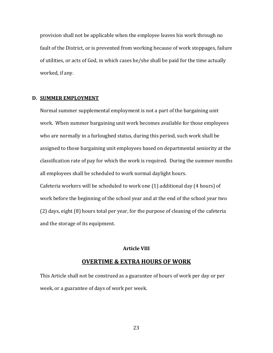provision shall not be applicable when the employee leaves his work through no fault of the District, or is prevented from working because of work stoppages, failure of utilities, or acts of God, in which cases he/she shall be paid for the time actually worked, if any.

# **D. SUMMER EMPLOYMENT**

Normal summer supplemental employment is not a part of the bargaining unit work. When summer bargaining unit work becomes available for those employees who are normally in a furloughed status, during this period, such work shall be assigned to those bargaining unit employees based on departmental seniority at the classification rate of pay for which the work is required. During the summer months all employees shall be scheduled to work normal daylight hours. Cafeteria workers will be scheduled to work one (1) additional day (4 hours) of work before the beginning of the school year and at the end of the school year two (2) days, eight (8) hours total per year, for the purpose of cleaning of the cafeteria and the storage of its equipment.

#### **Article VIII**

## **OVERTIME & EXTRA HOURS OF WORK**

This Article shall not be construed as a guarantee of hours of work per day or per week, or a guarantee of days of work per week.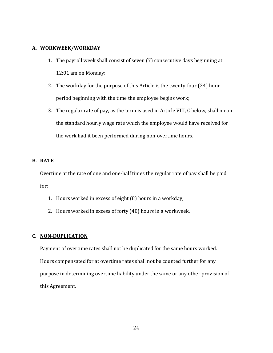# **A. WORKWEEK/WORKDAY**

- 1. The payroll week shall consist of seven (7) consecutive days beginning at 12:01 am on Monday;
- 2. The workday for the purpose of this Article is the twenty-four (24) hour period beginning with the time the employee begins work;
- 3. The regular rate of pay, as the term is used in Article VIII, C below, shall mean the standard hourly wage rate which the employee would have received for the work had it been performed during non-overtime hours.

# **B. RATE**

Overtime at the rate of one and one-half times the regular rate of pay shall be paid for:

- 1. Hours worked in excess of eight (8) hours in a workday;
- 2. Hours worked in excess of forty (40) hours in a workweek.

# **C. NON-DUPLICATION**

Payment of overtime rates shall not be duplicated for the same hours worked. Hours compensated for at overtime rates shall not be counted further for any purpose in determining overtime liability under the same or any other provision of this Agreement.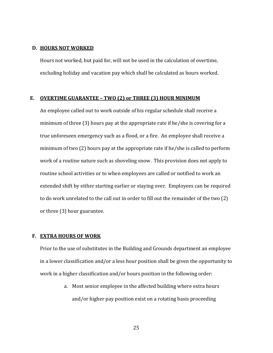#### **D. HOURS NOT WORKED**

Hours not worked, but paid for, will not be used in the calculation of overtime, excluding holiday and vacation pay which shall be calculated as hours worked.

# **E. OVERTIME GUARANTEE – TWO (2) or THREE (3) HOUR MINIMUM**

An employee called out to work outside of his regular schedule shall receive a minimum of three (3) hours pay at the appropriate rate if he/she is covering for a true unforeseen emergency such as a flood, or a fire. An employee shall receive a minimum of two (2) hours pay at the appropriate rate if he/she is called to perform work of a routine nature such as shoveling snow. This provision does not apply to routine school activities or to when employees are called or notified to work an extended shift by either starting earlier or staying over. Employees can be required to do work unrelated to the call out in order to fill out the remainder of the two (2) or three (3) hour guarantee.

# **F. EXTRA HOURS OF WORK**

Prior to the use of substitutes in the Building and Grounds department an employee in a lower classification and/or a less hour position shall be given the opportunity to work in a higher classification and/or hours position in the following order:

> a. Most senior employee in the affected building where extra hours and/or higher pay position exist on a rotating basis proceeding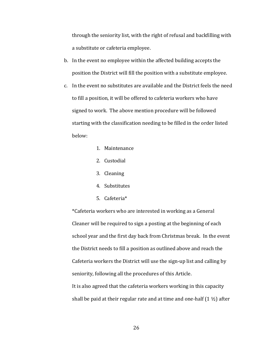through the seniority list, with the right of refusal and backfilling with a substitute or cafeteria employee.

- b. In the event no employee within the affected building accepts the position the District will fill the position with a substitute employee.
- c. In the event no substitutes are available and the District feels the need to fill a position, it will be offered to cafeteria workers who have signed to work. The above mention procedure will be followed starting with the classification needing to be filled in the order listed below:
	- 1. Maintenance
	- 2. Custodial
	- 3. Cleaning
	- 4. Substitutes
	- 5. Cafeteria\*

\*Cafeteria workers who are interested in working as a General Cleaner will be required to sign a posting at the beginning of each school year and the first day back from Christmas break. In the event the District needs to fill a position as outlined above and reach the Cafeteria workers the District will use the sign-up list and calling by seniority, following all the procedures of this Article. It is also agreed that the cafeteria workers working in this capacity shall be paid at their regular rate and at time and one-half  $(1 \frac{1}{2})$  after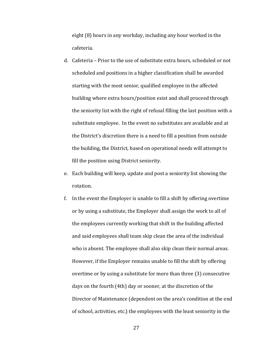eight (8) hours in any workday, including any hour worked in the cafeteria.

- d. Cafeteria Prior to the use of substitute extra hours, scheduled or not scheduled and positions in a higher classification shall be awarded starting with the most senior, qualified employee in the affected building where extra hours/position exist and shall proceed through the seniority list with the right of refusal filling the last position with a substitute employee. In the event no substitutes are available and at the District's discretion there is a need to fill a position from outside the building, the District, based on operational needs will attempt to fill the position using District seniority.
- e. Each building will keep, update and post a seniority list showing the rotation.
- f. In the event the Employer is unable to fill a shift by offering overtime or by using a substitute, the Employer shall assign the work to all of the employees currently working that shift in the building affected and said employees shall team skip clean the area of the individual who is absent. The employee shall also skip clean their normal areas. However, if the Employer remains unable to fill the shift by offering overtime or by using a substitute for more than three (3) consecutive days on the fourth (4th) day or sooner, at the discretion of the Director of Maintenance (dependent on the area's condition at the end of school, activities, etc.) the employees with the least seniority in the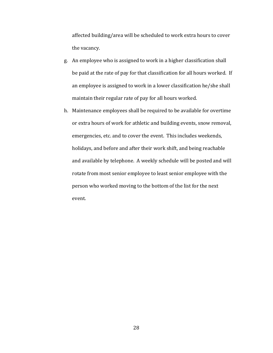affected building/area will be scheduled to work extra hours to cover the vacancy.

- g. An employee who is assigned to work in a higher classification shall be paid at the rate of pay for that classification for all hours worked. If an employee is assigned to work in a lower classification he/she shall maintain their regular rate of pay for all hours worked.
- h. Maintenance employees shall be required to be available for overtime or extra hours of work for athletic and building events, snow removal, emergencies, etc. and to cover the event. This includes weekends, holidays, and before and after their work shift, and being reachable and available by telephone. A weekly schedule will be posted and will rotate from most senior employee to least senior employee with the person who worked moving to the bottom of the list for the next event.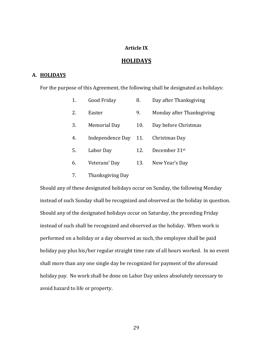# **Article IX**

# **HOLIDAYS**

# **A. HOLIDAYS**

For the purpose of this Agreement, the following shall be designated as holidays:

| 1. | Good Friday          | 8.  | Day after Thanksgiving    |
|----|----------------------|-----|---------------------------|
| 2. | Easter               | 9.  | Monday after Thanksgiving |
| 3. | Memorial Day         | 10. | Day before Christmas      |
| 4. | Independence Day 11. |     | Christmas Day             |
| 5. | Labor Day            | 12. | December 31st             |
| 6. | Veterans' Day        | 13. | New Year's Day            |
|    |                      |     |                           |

7. Thanksgiving Day

Should any of these designated holidays occur on Sunday, the following Monday instead of such Sunday shall be recognized and observed as the holiday in question. Should any of the designated holidays occur on Saturday, the preceding Friday instead of such shall be recognized and observed as the holiday. When work is performed on a holiday or a day observed as such, the employee shall be paid holiday pay plus his/her regular straight time rate of all hours worked. In no event shall more than any one single day be recognized for payment of the aforesaid holiday pay. No work shall be done on Labor Day unless absolutely necessary to avoid hazard to life or property.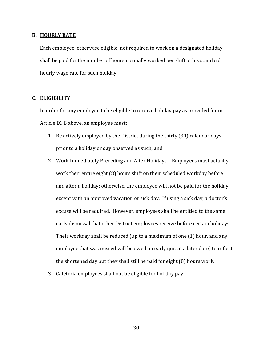#### **B. HOURLY RATE**

Each employee, otherwise eligible, not required to work on a designated holiday shall be paid for the number of hours normally worked per shift at his standard hourly wage rate for such holiday.

# **C. ELIGIBILITY**

In order for any employee to be eligible to receive holiday pay as provided for in Article IX, B above, an employee must:

- 1. Be actively employed by the District during the thirty (30) calendar days prior to a holiday or day observed as such; and
- 2. Work Immediately Preceding and After Holidays Employees must actually work their entire eight (8) hours shift on their scheduled workday before and after a holiday; otherwise, the employee will not be paid for the holiday except with an approved vacation or sick day. If using a sick day, a doctor's excuse will be required. However, employees shall be entitled to the same early dismissal that other District employees receive before certain holidays. Their workday shall be reduced (up to a maximum of one (1) hour, and any employee that was missed will be owed an early quit at a later date) to reflect the shortened day but they shall still be paid for eight (8) hours work.
- 3. Cafeteria employees shall not be eligible for holiday pay.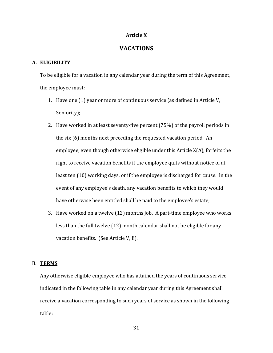# **Article X**

# **VACATIONS**

# **A. ELIGIBILITY**

To be eligible for a vacation in any calendar year during the term of this Agreement, the employee must:

- 1. Have one (1) year or more of continuous service (as defined in Article V, Seniority);
- 2. Have worked in at least seventy-five percent (75%) of the payroll periods in the six (6) months next preceding the requested vacation period. An employee, even though otherwise eligible under this Article X(A), forfeits the right to receive vacation benefits if the employee quits without notice of at least ten (10) working days, or if the employee is discharged for cause. In the event of any employee's death, any vacation benefits to which they would have otherwise been entitled shall be paid to the employee's estate;
- 3. Have worked on a twelve (12) months job. A part-time employee who works less than the full twelve (12) month calendar shall not be eligible for any vacation benefits. (See Article V, E).

# B. **TERMS**

Any otherwise eligible employee who has attained the years of continuous service indicated in the following table in any calendar year during this Agreement shall receive a vacation corresponding to such years of service as shown in the following table: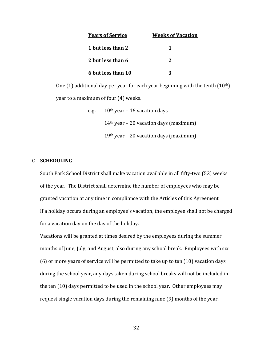| <b>Years of Service</b> | <b>Weeks of Vacation</b> |
|-------------------------|--------------------------|
| 1 but less than 2       |                          |
| 2 but less than 6       | 2                        |
| 6 but less than 10      |                          |

One (1) additional day per year for each year beginning with the tenth  $(10<sup>th</sup>)$ year to a maximum of four (4) weeks.

| e.g. | $10th$ year – 16 vacation days           |
|------|------------------------------------------|
|      | $14th$ year – 20 vacation days (maximum) |
|      | $19th$ year – 20 vacation days (maximum) |

## C. **SCHEDULING**

South Park School District shall make vacation available in all fifty-two (52) weeks of the year. The District shall determine the number of employees who may be granted vacation at any time in compliance with the Articles of this Agreement If a holiday occurs during an employee's vacation, the employee shall not be charged for a vacation day on the day of the holiday.

Vacations will be granted at times desired by the employees during the summer months of June, July, and August, also during any school break. Employees with six (6) or more years of service will be permitted to take up to ten (10) vacation days during the school year, any days taken during school breaks will not be included in the ten (10) days permitted to be used in the school year. Other employees may request single vacation days during the remaining nine (9) months of the year.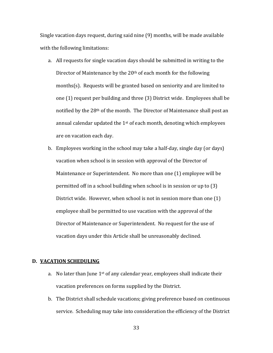Single vacation days request, during said nine (9) months, will be made available with the following limitations:

- a. All requests for single vacation days should be submitted in writing to the Director of Maintenance by the 20<sup>th</sup> of each month for the following months(s). Requests will be granted based on seniority and are limited to one (1) request per building and three (3) District wide. Employees shall be notified by the 28th of the month. The Director of Maintenance shall post an annual calendar updated the 1st of each month, denoting which employees are on vacation each day.
- b. Employees working in the school may take a half-day, single day (or days) vacation when school is in session with approval of the Director of Maintenance or Superintendent. No more than one (1) employee will be permitted off in a school building when school is in session or up to (3) District wide. However, when school is not in session more than one (1) employee shall be permitted to use vacation with the approval of the Director of Maintenance or Superintendent. No request for the use of vacation days under this Article shall be unreasonably declined.

# **D. VACATION SCHEDULING**

- a. No later than June  $1^{st}$  of any calendar year, employees shall indicate their vacation preferences on forms supplied by the District.
- b. The District shall schedule vacations; giving preference based on continuous service. Scheduling may take into consideration the efficiency of the District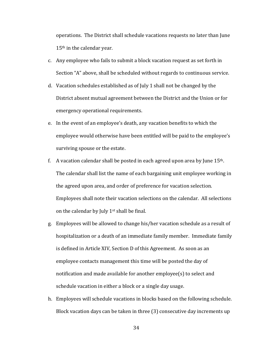operations. The District shall schedule vacations requests no later than June 15<sup>th</sup> in the calendar year.

- c. Any employee who fails to submit a block vacation request as set forth in Section "A" above, shall be scheduled without regards to continuous service.
- d. Vacation schedules established as of July 1 shall not be changed by the District absent mutual agreement between the District and the Union or for emergency operational requirements.
- e. In the event of an employee's death, any vacation benefits to which the employee would otherwise have been entitled will be paid to the employee's surviving spouse or the estate.
- f. A vacation calendar shall be posted in each agreed upon area by June  $15<sup>th</sup>$ . The calendar shall list the name of each bargaining unit employee working in the agreed upon area, and order of preference for vacation selection. Employees shall note their vacation selections on the calendar. All selections on the calendar by July  $1<sup>st</sup>$  shall be final.
- g. Employees will be allowed to change his/her vacation schedule as a result of hospitalization or a death of an immediate family member. Immediate family is defined in Article XIV, Section D of this Agreement. As soon as an employee contacts management this time will be posted the day of notification and made available for another employee(s) to select and schedule vacation in either a block or a single day usage.
- h. Employees will schedule vacations in blocks based on the following schedule. Block vacation days can be taken in three (3) consecutive day increments up
	- 34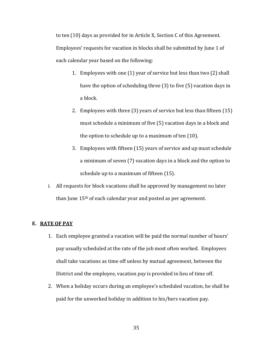to ten (10) days as provided for in Article X, Section C of this Agreement. Employees' requests for vacation in blocks shall be submitted by June 1 of each calendar year based on the following:

- 1. Employees with one (1) year of service but less than two (2) shall have the option of scheduling three (3) to five (5) vacation days in a block.
- 2. Employees with three (3) years of service but less than fifteen (15) must schedule a minimum of five (5) vacation days in a block and the option to schedule up to a maximum of ten (10).
- 3. Employees with fifteen (15) years of service and up must schedule a minimum of seven (7) vacation days in a block and the option to schedule up to a maximum of fifteen (15).
- i. All requests for block vacations shall be approved by management no later than June 15<sup>th</sup> of each calendar year and posted as per agreement.

## **E. RATE OF PAY**

- 1. Each employee granted a vacation will be paid the normal number of hours' pay usually scheduled at the rate of the job most often worked. Employees shall take vacations as time off unless by mutual agreement, between the District and the employee, vacation *pay* is provided in lieu of time off.
- 2. When a holiday occurs during an employee's scheduled vacation, he shall be paid for the unworked holiday in addition to his/hers vacation pay.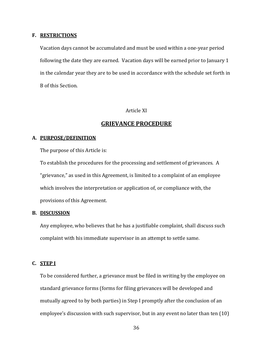#### **F. RESTRICTIONS**

Vacation days cannot be accumulated and must be used within a one-year period following the date they are earned. Vacation days will be earned prior to January 1 in the calendar year they are to be used in accordance with the schedule set forth in B of this Section.

# Article XI

# **GRIEVANCE PROCEDURE**

## **A. PURPOSE/DEFINITION**

The purpose of this Article is:

To establish the procedures for the processing and settlement of grievances. A "grievance," as used in this Agreement, is limited to a complaint of an employee which involves the interpretation or application of, or compliance with, the provisions of this Agreement.

# **B. DISCUSSION**

Any employee, who believes that he has a justifiable complaint, shall discuss such complaint with his immediate supervisor in an attempt to settle same.

# **C. STEP I**

To be considered further, a grievance must be filed in writing by the employee on standard grievance forms (forms for filing grievances will be developed and mutually agreed to by both parties) in Step I promptly after the conclusion of an employee's discussion with such supervisor, but in any event no later than ten (10)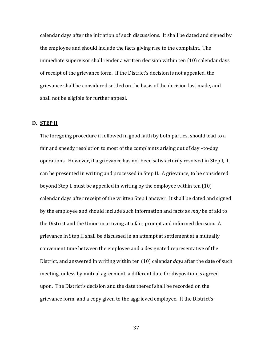calendar days after the initiation of such discussions. It shall be dated and signed by the employee and should include the facts giving rise to the complaint. The immediate supervisor shall render a written decision within ten (10) calendar days of receipt of the grievance form. If the District's decision is not appealed, the grievance shall be considered settled on the basis of the decision last made, and shall not be eligible for further appeal.

# **D. STEP II**

The foregoing procedure if followed in good faith by both parties, should lead to a fair and speedy resolution to most of the complaints arising out of day –to-day operations. However, if a grievance has not been satisfactorily resolved in Step I, it can be presented in writing and processed in Step II. A grievance, to be considered beyond Step I, must be appealed in writing by the employee within ten (10) calendar days after receipt of the written Step I answer. It shall be dated and signed by the employee and should include such information and facts as *may* be of aid to the District and the Union in arriving at a fair, prompt and informed decision. A grievance in Step II shall be discussed in an attempt at settlement at a mutually convenient time between the employee and a designated representative of the District, and answered in writing within ten (10) calendar *days* after the date of such meeting, unless by mutual agreement, a different date for disposition is agreed upon. The District's decision and the date thereof shall be recorded on the grievance form, and a copy given to the aggrieved employee. If the District's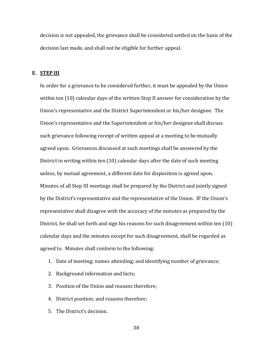decision is not appealed, the grievance shall be considered settled on the basis of the decision last made, and shall not be eligible for further appeal.

# **E. STEP III**

In order for a grievance to be considered further, it must be appealed by the Union within ten (10) calendar days of the written Step II answer for consideration by the Union's representative and the District Superintendent or his/her designee. The Union's representative and the Superintendent or his/her designee shall discuss such grievance following receipt of written appeal at a meeting to be mutually agreed upon. Grievances discussed at such meetings shall be answered by the District in writing within ten (10) calendar days after the date of such meeting unless, by mutual agreement, a different date for disposition is agreed upon. Minutes of all Step III meetings shall be prepared by the District and jointly signed by the District's representative and the representative of the Union. IF the Union's representative shall disagree with the accuracy of the minutes as prepared by the District, he shall set forth and sign his reasons for such disagreement within ten (10) calendar days and the minutes except for such disagreement, shall be regarded as agreed to. Minutes shall conform to the following:

- 1. Date of meeting; names attending; and identifying number of grievance;
- 2. Background information and facts;
- 3. Position of the Union and reasons therefore;
- 4. District position; and reasons therefore;
- 5. The District's decision.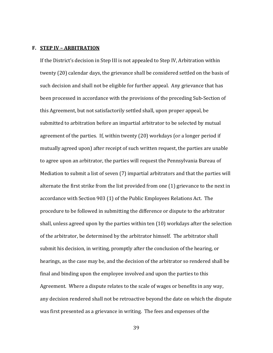#### **F. STEP IV – ARBITRATION**

If the District's decision in Step III is not appealed to Step IV, Arbitration within twenty (20) calendar days, the grievance shall be considered settled on the basis of such decision and shall not be eligible for further appeal. Any grievance that has been processed in accordance with the provisions of the preceding Sub-Section of this Agreement, but not satisfactorily settled shall, upon proper appeal, be submitted to arbitration before an impartial arbitrator to be selected by mutual agreement of the parties. If, within twenty (20) workdays (or a longer period if mutually agreed upon) after receipt of such written request, the parties are unable to agree upon an arbitrator, the parties will request the Pennsylvania Bureau of Mediation to submit a list of seven (7) impartial arbitrators and that the parties will alternate the first strike from the list provided from one (1) grievance to the next in accordance with Section 903 (1) of the Public Employees Relations Act. The procedure to be followed in submitting the difference or dispute to the arbitrator shall, unless agreed upon by the parties within ten (10) workdays after the selection of the arbitrator, be determined by the arbitrator himself. The arbitrator shall submit his decision, in writing, promptly after the conclusion of the hearing, or hearings, as the case may be, and the decision of the arbitrator so rendered shall be final and binding upon the employee involved and upon the parties to this Agreement. Where a dispute relates to the scale of wages or benefits in any way, any decision rendered shall not be retroactive beyond the date on which the dispute was first presented as a grievance in writing. The fees and expenses of the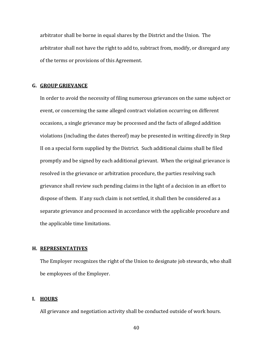arbitrator shall be borne in equal shares by the District and the Union. The arbitrator shall not have the right to add to, subtract from, modify, or disregard any of the terms or provisions of this Agreement.

#### **G. GROUP GRIEVANCE**

In order to avoid the necessity of filing numerous grievances on the same subject or event, or concerning the same alleged contract violation occurring on different occasions, a single grievance may be processed and the facts of alleged addition violations (including the dates thereof) may be presented in writing directly in Step II on a special form supplied by the District. Such additional claims shall be filed promptly and be signed by each additional grievant. When the original grievance is resolved in the grievance or arbitration procedure, the parties resolving such grievance shall review such pending claims in the light of a decision in an effort to dispose of them. If any such claim is not settled, it shall then be considered as a separate grievance and processed in accordance with the applicable procedure and the applicable time limitations.

#### **H. REPRESENTATIVES**

The Employer recognizes the right of the Union to designate job stewards, who shall be employees of the Employer.

# **I. HOURS**

All grievance and negotiation activity shall be conducted outside of work hours.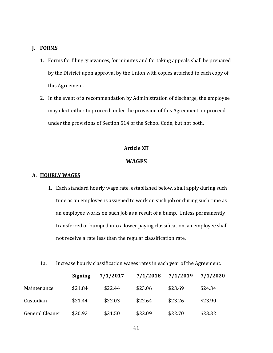# **J. FORMS**

- 1. Forms for filing grievances, for minutes and for taking appeals shall be prepared by the District upon approval by the Union with copies attached to each copy of this Agreement.
- 2. In the event of a recommendation by Administration of discharge, the employee may elect either to proceed under the provision of this Agreement, or proceed under the provisions of Section 514 of the School Code, but not both.

# **Article XII**

# **WAGES**

#### **A. HOURLY WAGES**

- 1. Each standard hourly wage rate, established below, shall apply during such time as an employee is assigned to work on such job or during such time as an employee works on such job as a result of a bump. Unless permanently transferred or bumped into a lower paying classification, an employee shall not receive a rate less than the regular classification rate.
- 1a. Increase hourly classification wages rates in each year of the Agreement.

|                 | <b>Signing</b> | 7/1/2017 | 7/1/2018 | 7/1/2019 | 7/1/2020 |
|-----------------|----------------|----------|----------|----------|----------|
| Maintenance     | \$21.84        | \$22.44  | \$23.06  | \$23.69  | \$24.34  |
| Custodian       | \$21.44        | \$22.03  | \$22.64  | \$23.26  | \$23.90  |
| General Cleaner | \$20.92        | \$21.50  | \$22.09  | \$22.70  | \$23.32  |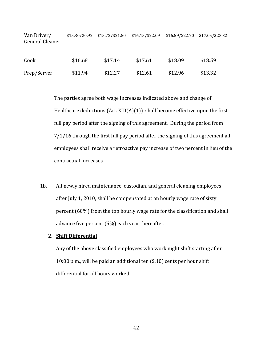| Van Driver/<br>General Cleaner |         | $$15.30/20.92$ $$15.72/$21.50$ | \$16.15/\$22.09 | \$16.59/\$22.70 \$17.05/\$23.32 |         |
|--------------------------------|---------|--------------------------------|-----------------|---------------------------------|---------|
| Cook                           | \$16.68 | \$17.14                        | \$17.61         | \$18.09                         | \$18.59 |
| Prep/Server                    | \$11.94 | \$12.27                        | \$12.61         | \$12.96                         | \$13.32 |

The parties agree both wage increases indicated above and change of Healthcare deductions  $(Art. XIII(A)(1))$  shall become effective upon the first full pay period after the signing of this agreement. During the period from 7/1/16 through the first full pay period after the signing of this agreement all employees shall receive a retroactive pay increase of two percent in lieu of the contractual increases.

1b. All newly hired maintenance, custodian, and general cleaning employees after July 1, 2010, shall be compensated at an hourly wage rate of sixty percent (60%) from the top hourly wage rate for the classification and shall advance five percent (5%) each year thereafter.

# **2. Shift Differential**

Any of the above classified employees who work night shift starting after 10:00 p.m., will be paid an additional ten (\$.10) cents per hour shift differential for all hours worked.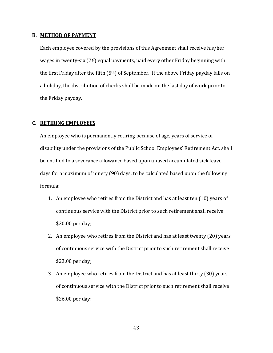#### **B. METHOD OF PAYMENT**

Each employee covered by the provisions of this Agreement shall receive his/her wages in twenty-six (26) equal payments, paid every other Friday beginning with the first Friday after the fifth  $(5<sup>th</sup>)$  of September. If the above Friday payday falls on a holiday, the distribution of checks shall be made on the last day of work prior to the Friday payday.

# **C. RETIRING EMPLOYEES**

An employee who is permanently retiring because of age, years of service or disability under the provisions of the Public School Employees' Retirement Act, shall be entitled to a severance allowance based upon unused accumulated sick leave days for a maximum of ninety (90) days, to be calculated based upon the following formula:

- 1. An employee who retires from the District and has at least ten (10) years of continuous service with the District prior to such retirement shall receive \$20.00 per day;
- 2. An employee who retires from the District and has at least twenty (20) years of continuous service with the District prior to such retirement shall receive \$23.00 per day;
- 3. An employee who retires from the District and has at least thirty (30) years of continuous service with the District prior to such retirement shall receive \$26.00 per day;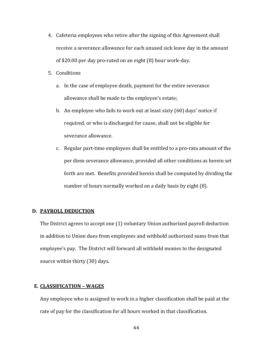- 4. Cafeteria employees who retire after the signing of this Agreement shall receive a severance allowance for each unused sick leave day in the amount of \$20.00 per day pro-rated on an eight (8) hour work-day.
- 5. Conditions
	- a. In the case of employee death, payment for the entire severance allowance shall be made to the employee's estate;
	- b. An employee who fails to work out at least sixty (60) days' notice if required, or who is discharged for cause, shall not be eligible for severance allowance.
	- c. Regular part-time employees shall be entitled to a pro-rata amount of the per diem severance allowance, provided all other conditions as herein set forth are met. Benefits provided herein shall be computed by dividing the number of hours normally worked on a daily basis by eight (8).

## **D. PAYROLL DEDUCTION**

The District agrees to accept one (1) voluntary Union authorized payroll deduction in addition to Union dues from employees and withhold authorized sums from that employee's pay. The District will forward all withheld monies to the designated source within thirty (30) days.

# **E. CLASSIFICATION – WAGES**

Any employee who is assigned to work in a higher classification shall be paid at the rate of pay for the classification for all hours worked in that classification.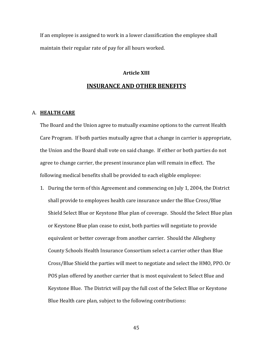If an employee is assigned to work in a lower classification the employee shall maintain their regular rate of pay for all hours worked.

# **Article XIII INSURANCE AND OTHER BENEFITS**

#### A. **HEALTH CARE**

The Board and the Union agree to mutually examine options to the current Health Care Program. If both parties mutually agree that a change in carrier is appropriate, the Union and the Board shall vote on said change. If either or both parties do not agree to change carrier, the present insurance plan will remain in effect. The following medical benefits shall be provided to each eligible employee:

1. During the term of this Agreement and commencing on July 1, 2004, the District shall provide to employees health care insurance under the Blue Cross/Blue Shield Select Blue or Keystone Blue plan of coverage. Should the Select Blue plan or Keystone Blue plan cease to exist, both parties will negotiate to provide equivalent or better coverage from another carrier. Should the Allegheny County Schools Health Insurance Consortium select a carrier other than Blue Cross/Blue Shield the parties will meet to negotiate and select the HMO, PPO. Or POS plan offered by another carrier that is most equivalent to Select Blue and Keystone Blue. The District will pay the full cost of the Select Blue or Keystone Blue Health care plan, subject to the following contributions: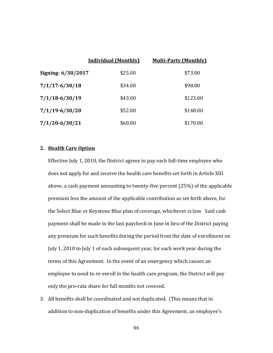|                    | <b>Individual (Monthly)</b> | <b>Multi-Party (Monthly)</b> |
|--------------------|-----------------------------|------------------------------|
| Signing-6/30/2017  | \$25.00                     | \$73.00                      |
| $7/1/17 - 6/30/18$ | \$34.00                     | \$98.00                      |
| $7/1/18 - 6/30/19$ | \$43.00                     | \$123.00                     |
| $7/1/19 - 6/30/20$ | \$52.00                     | \$148.00                     |
| $7/1/20 - 6/30/21$ | \$60.00                     | \$170.00                     |

# **2. Health Care Option**

Effective July 1, 2010, the District agrees to pay each full-time employee who does not apply for and receive the health care benefits set forth in Article XIII above, a cash payment amounting to twenty-five percent (25%) of the applicable premium less the amount of the applicable contribution as set forth above, for the Select Blue or Keystone Blue plan of coverage, whichever is less Said cash payment shall be made in the last paycheck in June in lieu of the District paying any premium for such benefits during the period from the date of enrollment on July 1, 2010 to July 1 of each subsequent year, for each work year during the terms of this Agreement. In the event of an emergency which causes an employee to need to re-enroll in the health care program, the District will pay only the pro-rata share for full months not covered.

3. All benefits shall be coordinated and not duplicated. (This means that in addition to non-duplication of benefits under this Agreement, an employee's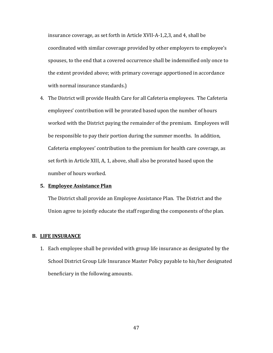insurance coverage, as set forth in Article XVII-A-1,2,3, and 4, shall be coordinated with similar coverage provided by other employers to employee's spouses, to the end that a covered occurrence shall be indemnified only once to the extent provided above; with primary coverage apportioned in accordance with normal insurance standards.)

4. The District will provide Health Care for all Cafeteria employees. The Cafeteria employees' contribution will be prorated based upon the number of hours worked with the District paying the remainder of the premium. Employees will be responsible to pay their portion during the summer months. In addition, Cafeteria employees' contribution to the premium for health care coverage, as set forth in Article XIII, A, 1, above, shall also be prorated based upon the number of hours worked.

## **5. Employee Assistance Plan**

The District shall provide an Employee Assistance Plan. The District and the Union agree to jointly educate the staff regarding the components of the plan.

# **B. LIFE INSURANCE**

1. Each employee shall be provided with group life insurance as designated by the School District Group Life Insurance Master Policy payable to his/her designated beneficiary in the following amounts.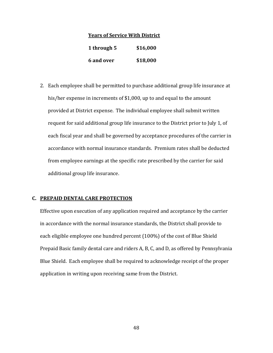#### **Years of Service With District**

| 1 through 5 | \$16,000 |
|-------------|----------|
| 6 and over  | \$18,000 |

2. Each employee shall be permitted to purchase additional group life insurance at his/her expense in increments of \$1,000, up to and equal to the amount provided at District expense. The individual employee shall submit written request for said additional group life insurance to the District prior to July 1, of each fiscal year and shall be governed by acceptance procedures of the carrier in accordance with normal insurance standards. Premium rates shall be deducted from employee earnings at the specific rate prescribed by the carrier for said additional group life insurance.

# **C. PREPAID DENTAL CARE PROTECTION**

Effective upon execution of any application required and acceptance by the carrier in accordance with the normal insurance standards, the District shall provide to each eligible employee one hundred percent (100%) of the cost of Blue Shield Prepaid Basic family dental care and riders A, B, C, and D, as offered by Pennsylvania Blue Shield. Each employee shall be required to acknowledge receipt of the proper application in writing upon receiving same from the District.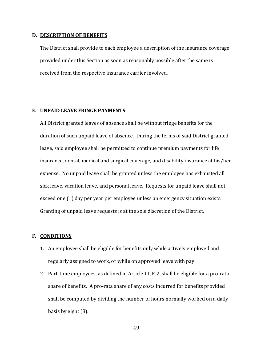#### **D. DESCRIPTION OF BENEFITS**

The District shall provide to each employee a description of the insurance coverage provided under this Section as soon as reasonably possible after the same is received from the respective insurance carrier involved.

#### **E. UNPAID LEAVE FRINGE PAYMENTS**

All District granted leaves of absence shall be without fringe benefits for the duration of such unpaid leave of absence. During the terms of said District granted leave, said employee shall be permitted to continue premium payments for life insurance, dental, medical and surgical coverage, and disability insurance at his/her expense. No unpaid leave shall be granted unless the employee has exhausted all sick leave, vacation leave, and personal leave. Requests for unpaid leave shall not exceed one (1) day per year per employee unless an emergency situation exists. Granting of unpaid leave requests is at the sole discretion of the District.

#### **F. CONDITIONS**

- 1. An employee shall be eligible for benefits only while actively employed and regularly assigned to work, or while on approved leave with pay;
- 2. Part-time employees, as defined in Article III, F-2, shall be eligible for a pro-rata share of benefits. A pro-rata share of any costs incurred for benefits provided shall be computed by dividing the number of hours normally worked on a daily basis by eight (8).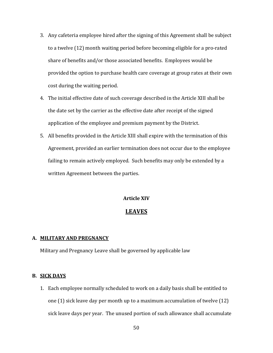- 3. Any cafeteria employee hired after the signing of this Agreement shall be subject to a twelve (12) month waiting period before becoming eligible for a pro-rated share of benefits and/or those associated benefits. Employees would be provided the option to purchase health care coverage at group rates at their own cost during the waiting period.
- 4. The initial effective date of such coverage described in the Article XIII shall be the date set by the carrier as the effective date after receipt of the signed application of the employee and premium payment by the District.
- 5. All benefits provided in the Article XIII shall expire with the termination of this Agreement, provided an earlier termination does not occur due to the employee failing to remain actively employed. Such benefits may only be extended by a written Agreement between the parties.

# **Article XIV**

# **LEAVES**

# **A. MILITARY AND PREGNANCY**

Military and Pregnancy Leave shall be governed by applicable law

# **B. SICK DAYS**

1. Each employee normally scheduled to work on a daily basis shall be entitled to one (1) sick leave day per month up to a maximum accumulation of twelve (12) sick leave days per year. The unused portion of such allowance shall accumulate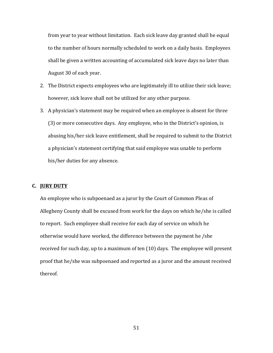from year to year without limitation. Each sick leave day granted shall be equal to the number of hours normally scheduled to work on a daily basis. Employees shall be given a written accounting of accumulated sick leave days no later than August 30 of each year.

- 2. The District expects employees who are legitimately ill to utilize their sick leave; however, sick leave shall not be utilized for any other purpose.
- 3. A physician's statement may be required when an employee is absent for three (3) or more consecutive days. Any employee, who in the District's opinion, is abusing his/her sick leave entitlement, shall be required to submit to the District a physician's statement certifying that said employee was unable to perform his/her duties for any absence.

# **C. JURY DUTY**

An employee who is subpoenaed as a juror by the Court of Common Pleas of Allegheny County shall be excused from work for the days on which he/she is called to report. Such employee shall receive for each day of service on which he otherwise would have worked, the difference between the payment he /she received for such day, up to a maximum of ten (10) days. The employee will present proof that he/she was subpoenaed and reported as a juror and the amount received thereof.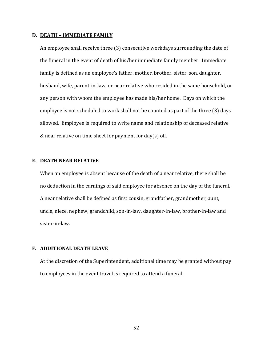#### **D. DEATH – IMMEDIATE FAMILY**

An employee shall receive three (3) consecutive workdays surrounding the date of the funeral in the event of death of his/her immediate family member. Immediate family is defined as an employee's father, mother, brother, sister, son, daughter, husband, wife, parent-in-law, or near relative who resided in the same household, or any person with whom the employee has made his/her home. Days on which the employee is not scheduled to work shall not be counted as part of the three (3) days allowed. Employee is required to write name and relationship of deceased relative & near relative on time sheet for payment for day(s) off.

## **E. DEATH NEAR RELATIVE**

When an employee is absent because of the death of a near relative, there shall be no deduction in the earnings of said employee for absence on the day of the funeral. A near relative shall be defined as first cousin, grandfather, grandmother, aunt, uncle, niece, nephew, grandchild, son-in-law, daughter-in-law, brother-in-law and sister-in-law.

# **F. ADDITIONAL DEATH LEAVE**

At the discretion of the Superintendent, additional time may be granted without pay to employees in the event travel is required to attend a funeral.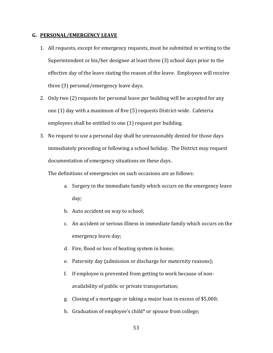# **G. PERSONAL/EMERGENCY LEAVE**

- 1. All requests, except for emergency requests, must be submitted in writing to the Superintendent or his/her designee at least three (3) school days prior to the effective day of the leave stating the reason of the leave. Employees will receive three (3) personal/emergency leave days.
- 2. Only two (2) requests for personal leave per building will be accepted for any one (1) day with a maximum of five (5) requests District-wide. Cafeteria employees shall be entitled to one (1) request per building.
- 3. No request to use a personal day shall be unreasonably denied for those days immediately preceding or following a school holiday. The District may request documentation of emergency situations on these days.

The definitions of emergencies on such occasions are as follows:

- a. Surgery in the immediate family which occurs on the emergency leave day;
- b. Auto accident on way to school;
- c. An accident or serious illness in immediate family which occurs on the emergency leave day;
- d. Fire, flood or loss of heating system in home;
- e. Paternity day (admission or discharge for maternity reasons);
- f. If employee is prevented from getting to work because of nonavailability of public or private transportation;
- g. Closing of a mortgage or taking a major loan in excess of \$5,000;
- h. Graduation of employee's child\* or spouse from college;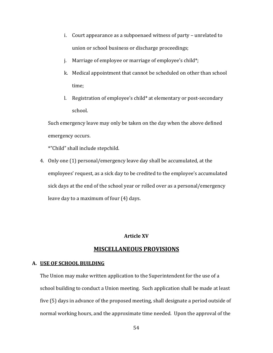- i. Court appearance as a subpoenaed witness of party unrelated to union or school business or discharge proceedings;
- j. Marriage of employee or marriage of employee's child\*;
- k. Medical appointment that cannot be scheduled on other than school time;
- l. Registration of employee's child\* at elementary or post-secondary school.

Such emergency leave may only be taken on the day when the above defined emergency occurs.

\*"Child" shall include stepchild.

4. Only one (1) personal/emergency leave day shall be accumulated, at the employees' request, as a sick day to be credited to the employee's accumulated sick days at the end of the school year or rolled over as a personal/emergency leave day to a maximum of four (4) days.

# **Article XV**

# **MISCELLANEOUS PROVISIONS**

# **A. USE OF SCHOOL BUILDING**

The Union may make written application to the Superintendent for the use of a school building to conduct a Union meeting. Such application shall be made at least five (5) days in advance of the proposed meeting, shall designate a period outside of normal working hours, and the approximate time needed. Upon the approval of the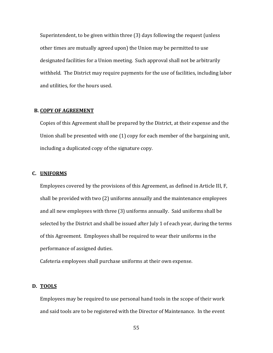Superintendent, to be given within three (3) days following the request (unless other times are mutually agreed upon) the Union may be permitted to use designated facilities for a Union meeting. Such approval shall not be arbitrarily withheld. The District may require payments for the use of facilities, including labor and utilities, for the hours used.

#### **B. COPY OF AGREEMENT**

Copies of this Agreement shall be prepared by the District, at their expense and the Union shall be presented with one (1) copy for each member of the bargaining unit, including a duplicated copy of the signature copy.

#### **C. UNIFORMS**

Employees covered by the provisions of this Agreement, as defined in Article III, F, shall be provided with two (2) uniforms annually and the maintenance employees and all new employees with three (3) uniforms annually. Said uniforms shall be selected by the District and shall be issued after July 1 of each year, during the terms of this Agreement. Employees shall be required to wear their uniforms in the performance of assigned duties.

Cafeteria employees shall purchase uniforms at their own expense.

# **D. TOOLS**

Employees may be required to use personal hand tools in the scope of their work and said tools are to be registered with the Director of Maintenance. In the event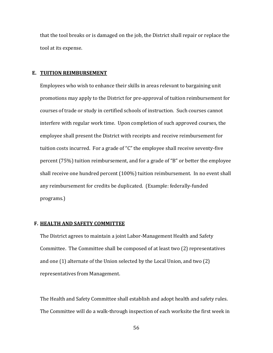that the tool breaks or is damaged on the job, the District shall repair or replace the tool at its expense.

#### **E. TUITION REIMBURSEMENT**

Employees who wish to enhance their skills in areas relevant to bargaining unit promotions may apply to the District for pre-approval of tuition reimbursement for courses of trade or study in certified schools of instruction. Such courses cannot interfere with regular work time. Upon completion of such approved courses, the employee shall present the District with receipts and receive reimbursement for tuition costs incurred. For a grade of "C" the employee shall receive seventy-five percent (75%) tuition reimbursement, and for a grade of "B" or better the employee shall receive one hundred percent (100%) tuition reimbursement. In no event shall any reimbursement for credits be duplicated. (Example: federally-funded programs.)

#### **F. HEALTH AND SAFETY COMMITTEE**

The District agrees to maintain a joint Labor-Management Health and Safety Committee. The Committee shall be composed of at least two (2) representatives and one (1) alternate of the Union selected by the Local Union, and two (2) representatives from Management.

The Health and Safety Committee shall establish and adopt health and safety rules. The Committee will do a walk-through inspection of each worksite the first week in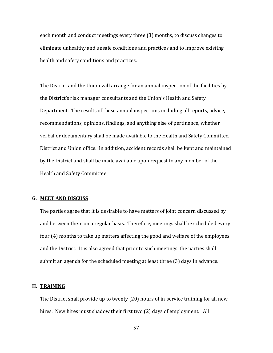each month and conduct meetings every three (3) months, to discuss changes to eliminate unhealthy and unsafe conditions and practices and to improve existing health and safety conditions and practices.

The District and the Union will arrange for an annual inspection of the facilities by the District's risk manager consultants and the Union's Health and Safety Department. The results of these annual inspections including all reports, advice, recommendations, opinions, findings, and anything else of pertinence, whether verbal or documentary shall be made available to the Health and Safety Committee, District and Union office. In addition, accident records shall be kept and maintained by the District and shall be made available upon request to any member of the Health and Safety Committee

# **G. MEET AND DISCUSS**

The parties agree that it is desirable to have matters of joint concern discussed by and between them on a regular basis. Therefore, meetings shall be scheduled every four (4) months to take up matters affecting the good and welfare of the employees and the District. It is also agreed that prior to such meetings, the parties shall submit an agenda for the scheduled meeting at least three (3) days in advance.

#### **H. TRAINING**

The District shall provide up to twenty (20) hours of in-service training for all new hires. New hires must shadow their first two (2) days of employment. All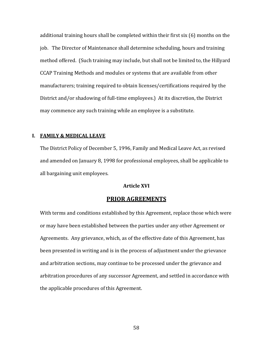additional training hours shall be completed within their first six (6) months on the job. The Director of Maintenance shall determine scheduling, hours and training method offered. (Such training may include, but shall not be limited to, the Hillyard CCAP Training Methods and modules or systems that are available from other manufacturers; training required to obtain licenses/certifications required by the District and/or shadowing of full-time employees.) At its discretion, the District may commence any such training while an employee is a substitute.

## **I. FAMILY & MEDICAL LEAVE**

The District Policy of December 5, 1996, Family and Medical Leave Act, as revised and amended on January 8, 1998 for professional employees, shall be applicable to all bargaining unit employees.

#### **Article XVI**

# **PRIOR AGREEMENTS**

With terms and conditions established by this Agreement, replace those which were or may have been established between the parties under any other Agreement or Agreements. Any grievance, which, as of the effective date of this Agreement, has been presented in writing and is in the process of adjustment under the grievance and arbitration sections, may continue to be processed under the grievance and arbitration procedures of any successor Agreement, and settled in accordance with the applicable procedures of this Agreement.